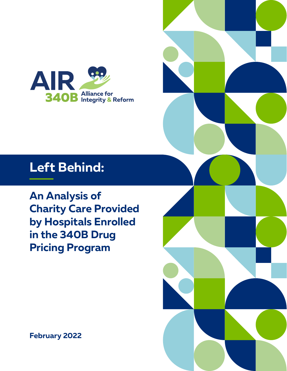

# **Left Behind:**

**An Analysis of Charity Care Provided by Hospitals Enrolled in the 340B Drug Pricing Program**

**February 2022**

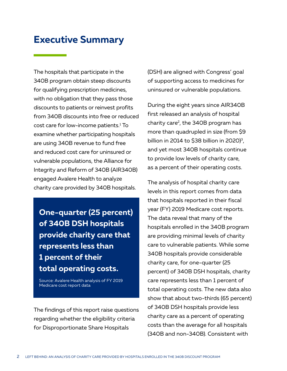## **Executive Summary**

The hospitals that participate in the 340B program obtain steep discounts for qualifying prescription medicines, with no obligation that they pass those discounts to patients or reinvest profits from 340B discounts into free or reduced cost care for low-income patients.1 To examine whether participating hospitals are using 340B revenue to fund free and reduced cost care for uninsured or vulnerable populations, the Alliance for Integrity and Reform of 340B (AIR340B) engaged Avalere Health to analyze charity care provided by 340B hospitals.

**One-quarter (25 percent) of 340B DSH hospitals provide charity care that represents less than 1 percent of their total operating costs.**

Source: Avalere Health analysis of FY 2019 Medicare cost report data

The findings of this report raise questions regarding whether the eligibility criteria for Disproportionate Share Hospitals

(DSH) are aligned with Congress' goal of supporting access to medicines for uninsured or vulnerable populations.

During the eight years since AIR340B first released an analysis of hospital charity care<sup>2</sup>, the 340B program has more than quadrupled in size (from \$9 billion in 2014 to \$38 billion in 2020)<sup>3</sup>, and yet most 340B hospitals continue to provide low levels of charity care, as a percent of their operating costs.

The analysis of hospital charity care levels in this report comes from data that hospitals reported in their fiscal year (FY) 2019 Medicare cost reports. The data reveal that many of the hospitals enrolled in the 340B program are providing minimal levels of charity care to vulnerable patients. While some 340B hospitals provide considerable charity care, for one-quarter (25 percent) of 340B DSH hospitals, charity care represents less than 1 percent of total operating costs. The new data also show that about two-thirds (65 percent) of 340B DSH hospitals provide less charity care as a percent of operating costs than the average for all hospitals (340B and non-340B). Consistent with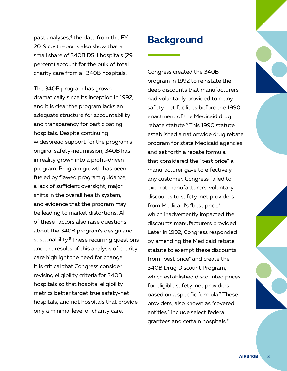past analyses, $4$  the data from the FY 2019 cost reports also show that a small share of 340B DSH hospitals (29 percent) account for the bulk of total charity care from all 340B hospitals.

The 340B program has grown dramatically since its inception in 1992, and it is clear the program lacks an adequate structure for accountability and transparency for participating hospitals. Despite continuing widespread support for the program's original safety-net mission, 340B has in reality grown into a profit-driven program. Program growth has been fueled by flawed program guidance, a lack of sufficient oversight, major shifts in the overall health system, and evidence that the program may be leading to market distortions. All of these factors also raise questions about the 340B program's design and sustainability.<sup>5</sup> These recurring questions and the results of this analysis of charity care highlight the need for change. It is critical that Congress consider revising eligibility criteria for 340B hospitals so that hospital eligibility metrics better target true safety-net hospitals, and not hospitals that provide only a minimal level of charity care.

## **Background**

Congress created the 340B program in 1992 to reinstate the deep discounts that manufacturers had voluntarily provided to many safety-net facilities before the 1990 enactment of the Medicaid drug rebate statute.<sup>6</sup> This 1990 statute established a nationwide drug rebate program for state Medicaid agencies and set forth a rebate formula that considered the "best price" a manufacturer gave to effectively any customer. Congress failed to exempt manufacturers' voluntary discounts to safety-net providers from Medicaid's "best price," which inadvertently impacted the discounts manufacturers provided. Later in 1992, Congress responded by amending the Medicaid rebate statute to exempt these discounts from "best price" and create the 340B Drug Discount Program, which established discounted prices for eligible safety-net providers based on a specific formula.7 These providers, also known as "covered entities," include select federal grantees and certain hospitals.8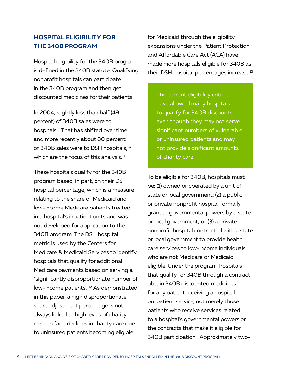### **HOSPITAL ELIGIBILITY FOR THE 340B PROGRAM**

Hospital eligibility for the 340B program is defined in the 340B statute. Qualifying nonprofit hospitals can participate in the 340B program and then get discounted medicines for their patients.

In 2004, slightly less than half (49 percent) of 340B sales were to hospitals.9 That has shifted over time and more recently about 80 percent of 340B sales were to DSH hospitals,<sup>10</sup> which are the focus of this analysis.<sup>11</sup>

These hospitals qualify for the 340B program based, in part, on their DSH hospital percentage, which is a measure relating to the share of Medicaid and low-income Medicare patients treated in a hospital's inpatient units and was not developed for application to the 340B program. The DSH hospital metric is used by the Centers for Medicare & Medicaid Services to identify hospitals that qualify for additional Medicare payments based on serving a "significantly disproportionate number of low-income patients."12 As demonstrated in this paper, a high disproportionate share adjustment percentage is not always linked to high levels of charity care. In fact, declines in charity care due to uninsured patients becoming eligible

for Medicaid through the eligibility expansions under the Patient Protection and Affordable Care Act (ACA) have made more hospitals eligible for 340B as their DSH hospital percentages increase.<sup>13</sup>

The current eligibility criteria have allowed many hospitals to qualify for 340B discounts even though they may not serve significant numbers of vulnerable or uninsured patients and may not provide significant amounts of charity care.

To be eligible for 340B, hospitals must be: (1) owned or operated by a unit of state or local government; (2) a public or private nonprofit hospital formally granted governmental powers by a state or local government; or (3) a private nonprofit hospital contracted with a state or local government to provide health care services to low-income individuals who are not Medicare or Medicaid eligible. Under the program, hospitals that qualify for 340B through a contract obtain 340B discounted medicines for any patient receiving a hospital outpatient service, not merely those patients who receive services related to a hospital's governmental powers or the contracts that make it eligible for 340B participation. Approximately two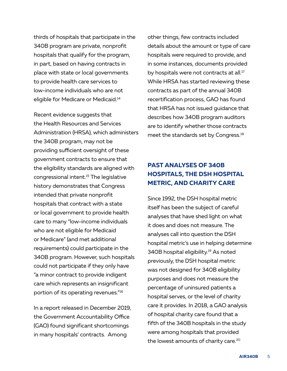thirds of hospitals that participate in the 340B program are private, nonprofit hospitals that qualify for the program, in part, based on having contracts in place with state or local governments to provide health care services to low-income individuals who are not eligible for Medicare or Medicaid.14

Recent evidence suggests that the Health Resources and Services Administration (HRSA), which administers the 340B program, may not be providing sufficient oversight of these government contracts to ensure that the eligibility standards are aligned with congressional intent.15 The legislative history demonstrates that Congress intended that private nonprofit hospitals that contract with a state or local government to provide health care to many "low-income individuals who are not eligible for Medicaid or Medicare" (and met additional requirements) could participate in the 340B program. However, such hospitals could not participate if they only have "a minor contract to provide indigent care which represents an insignificant portion of its operating revenues."16

In a report released in December 2019, the Government Accountability Office (GAO) found significant shortcomings in many hospitals' contracts. Among

other things, few contracts included details about the amount or type of care hospitals were required to provide, and in some instances, documents provided by hospitals were not contracts at all.<sup>17</sup> While HRSA has started reviewing these contracts as part of the annual 340B recertification process, GAO has found that HRSA has not issued guidance that describes how 340B program auditors are to identify whether those contracts meet the standards set by Congress.<sup>18</sup>

### **PAST ANALYSES OF 340B HOSPITALS, THE DSH HOSPITAL METRIC, AND CHARITY CARE**

Since 1992, the DSH hospital metric itself has been the subject of careful analyses that have shed light on what it does and does not measure. The analyses call into question the DSH hospital metric's use in helping determine 340B hospital eligibility.19 As noted previously, the DSH hospital metric was not designed for 340B eligibility purposes and does not measure the percentage of uninsured patients a hospital serves, or the level of charity care it provides. In 2018, a GAO analysis of hospital charity care found that a fifth of the 340B hospitals in the study were among hospitals that provided the lowest amounts of charity care.<sup>20</sup>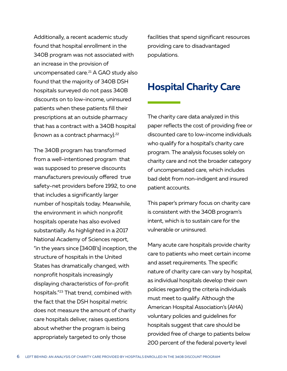Additionally, a recent academic study found that hospital enrollment in the 340B program was not associated with an increase in the provision of uncompensated care.<sup>21</sup> A GAO study also found that the majority of 340B DSH hospitals surveyed do not pass 340B discounts on to low-income, uninsured patients when these patients fill their prescriptions at an outside pharmacy that has a contract with a 340B hospital (known as a contract pharmacy).<sup>22</sup>

The 340B program has transformed from a well-intentioned program that was supposed to preserve discounts manufacturers previously offered true safety-net providers before 1992, to one that includes a significantly larger number of hospitals today. Meanwhile, the environment in which nonprofit hospitals operate has also evolved substantially. As highlighted in a 2017 National Academy of Sciences report, "in the years since [340B's] inception, the structure of hospitals in the United States has dramatically changed, with nonprofit hospitals increasingly displaying characteristics of for-profit hospitals."23 That trend, combined with the fact that the DSH hospital metric does not measure the amount of charity care hospitals deliver, raises questions about whether the program is being appropriately targeted to only those

facilities that spend significant resources providing care to disadvantaged populations.

### **Hospital Charity Care**

The charity care data analyzed in this paper reflects the cost of providing free or discounted care to low-income individuals who qualify for a hospital's charity care program. The analysis focuses solely on charity care and not the broader category of uncompensated care, which includes bad debt from non-indigent and insured patient accounts.

This paper's primary focus on charity care is consistent with the 340B program's intent, which is to sustain care for the vulnerable or uninsured.

Many acute care hospitals provide charity care to patients who meet certain income and asset requirements. The specific nature of charity care can vary by hospital, as individual hospitals develop their own policies regarding the criteria individuals must meet to qualify. Although the American Hospital Association's (AHA) voluntary policies and guidelines for hospitals suggest that care should be provided free of charge to patients below 200 percent of the federal poverty level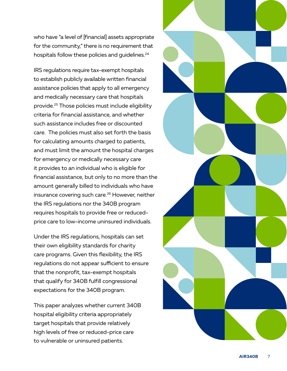who have "a level of [financial] assets appropriate for the community," there is no requirement that hospitals follow these policies and quidelines.<sup>24</sup>

IRS regulations require tax-exempt hospitals to establish publicly available written financial assistance policies that apply to all emergency and medically necessary care that hospitals provide.25 Those policies must include eligibility criteria for financial assistance, and whether such assistance includes free or discounted care. The policies must also set forth the basis for calculating amounts charged to patients, and must limit the amount the hospital charges for emergency or medically necessary care it provides to an individual who is eligible for financial assistance, but only to no more than the amount generally billed to individuals who have insurance covering such care.<sup>26</sup> However, neither the IRS regulations nor the 340B program requires hospitals to provide free or reducedprice care to low-income uninsured individuals.

Under the IRS regulations, hospitals can set their own eligibility standards for charity care programs. Given this flexibility, the IRS regulations do not appear sufficient to ensure that the nonprofit, tax-exempt hospitals that qualify for 340B fulfill congressional expectations for the 340B program.

This paper analyzes whether current 340B hospital eligibility criteria appropriately target hospitals that provide relatively high levels of free or reduced-price care to vulnerable or uninsured patients.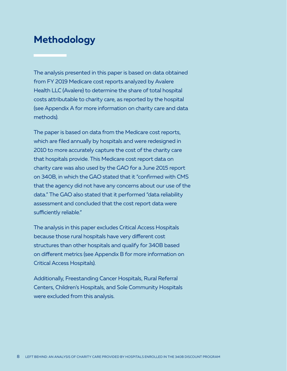## **Methodology**

The analysis presented in this paper is based on data obtained from FY 2019 Medicare cost reports analyzed by Avalere Health LLC (Avalere) to determine the share of total hospital costs attributable to charity care, as reported by the hospital (see Appendix A for more information on charity care and data methods).

The paper is based on data from the Medicare cost reports, which are filed annually by hospitals and were redesigned in 2010 to more accurately capture the cost of the charity care that hospitals provide. This Medicare cost report data on charity care was also used by the GAO for a June 2015 report on 340B, in which the GAO stated that it "confirmed with CMS that the agency did not have any concerns about our use of the data." The GAO also stated that it performed "data reliability assessment and concluded that the cost report data were sufficiently reliable."

The analysis in this paper excludes Critical Access Hospitals because those rural hospitals have very different cost structures than other hospitals and qualify for 340B based on different metrics (see Appendix B for more information on Critical Access Hospitals).

Additionally, Freestanding Cancer Hospitals, Rural Referral Centers, Children's Hospitals, and Sole Community Hospitals were excluded from this analysis.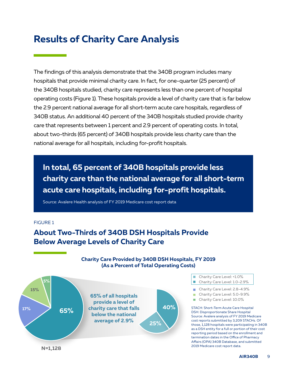## **Results of Charity Care Analysis**

The findings of this analysis demonstrate that the 340B program includes many hospitals that provide minimal charity care. In fact, for one-quarter (25 percent) of the 340B hospitals studied, charity care represents less than one percent of hospital operating costs (Figure 1). These hospitals provide a level of charity care that is far below the 2.9 percent national average for all short-term acute care hospitals, regardless of 340B status. An additional 40 percent of the 340B hospitals studied provide charity care that represents between 1 percent and 2.9 percent of operating costs. In total, about two-thirds (65 percent) of 340B hospitals provide less charity care than the national average for all hospitals, including for-profit hospitals.

**In total, 65 percent of 340B hospitals provide less charity care than the national average for all short-term acute care hospitals, including for-profit hospitals.**

Source: Avalere Health analysis of FY 2019 Medicare cost report data

#### FIGURE 1

### **About Two-Thirds of 340B DSH Hospitals Provide Below Average Levels of Charity Care**



**Charity Care Provided by 340B DSH Hospitals, FY 2019 (As a Percent of Total Operating Costs)**

- Charity Care Level: <1.0% Charity Care Level: 1.0-2.9%
- Charity Care Level: 2.8-4.9%
- Charity Care Level: 5.0-9.9% n.
- Charity Care Level: 10.0%  $\overline{\phantom{a}}$

STACH: Short-Term Acute Care Hospital DSH: Disproportionate Share Hospital Source: Avalere analysis of FY 2019 Medicare cost reports submitted by 3,209 STACHs. Of those, 1,128 hospitals were participating in 340B as a DSH entity for a full or portion of their cost reporting period based on the enrollment and termination dates in the Office of Pharmacy Affairs (OPA) 340B Database, and submitted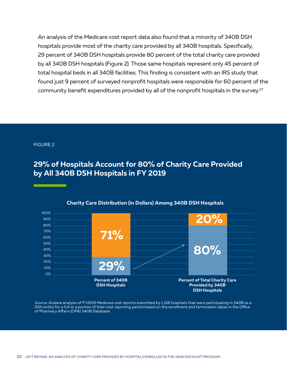An analysis of the Medicare cost report data also found that a minority of 340B DSH hospitals provide most of the charity care provided by all 340B hospitals. Specifically, 29 percent of 340B DSH hospitals provide 80 percent of the total charity care provided by all 340B DSH hospitals (Figure 2). Those same hospitals represent only 45 percent of total hospital beds in all 340B facilities. This finding is consistent with an IRS study that found just 9 percent of surveyed nonprofit hospitals were responsible for 60 percent of the community benefit expenditures provided by all of the nonprofit hospitals in the survey.<sup>27</sup>

#### FIGURE 2

### **29% of Hospitals Account for 80% of Charity Care Provided by All 340B DSH Hospitals in FY 2019**



#### **Charity Care Distribution (in Dollars) Among 340B DSH Hospitals**

Source: Avalere analysis of FY2019 Medicare cost reports submitted by 1,128 hospitals that were participating in 340B as a DSH entity for a full or a portion of their cost reporting period based on the enrollment and termination dates in the Office of Pharmacy Affairs (OPA) 340B Database.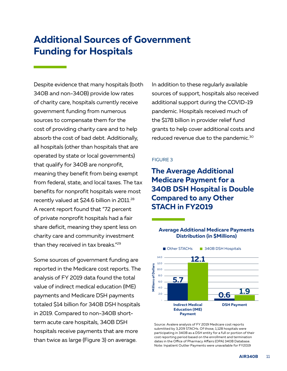## **Additional Sources of Government Funding for Hospitals**

Despite evidence that many hospitals (both 340B and non-340B) provide low rates of charity care, hospitals currently receive government funding from numerous sources to compensate them for the cost of providing charity care and to help absorb the cost of bad debt. Additionally, all hospitals (other than hospitals that are operated by state or local governments) that qualify for 340B are nonprofit, meaning they benefit from being exempt from federal, state, and local taxes. The tax benefits for nonprofit hospitals were most recently valued at \$24.6 billion in 2011.<sup>28</sup> A recent report found that "72 percent of private nonprofit hospitals had a fair share deficit, meaning they spent less on charity care and community investment than they received in tax breaks."29

Some sources of government funding are reported in the Medicare cost reports. The analysis of FY 2019 data found the total value of indirect medical education (IME) payments and Medicare DSH payments totaled \$14 billion for 340B DSH hospitals in 2019. Compared to non-340B shortterm acute care hospitals, 340B DSH hospitals receive payments that are more than twice as large (Figure 3) on average.

In addition to these regularly available sources of support, hospitals also received additional support during the COVID-19 pandemic. Hospitals received much of the \$178 billion in provider relief fund grants to help cover additional costs and reduced revenue due to the pandemic.30

#### FIGURE 3

### **The Average Additional Medicare Payment for a 340B DSH Hospital is Double Compared to any Other STACH in FY2019**

#### **Average Additional Medicare Payments Distribution (in \$Millions)**



Source: Avalere analysis of FY 2019 Medicare cost reports submitted by 3,209 STACHs. Of those, 1,128 hospitals were participating in 340B as a DSH entity for a full or portion of their cost reporting period based on the enrollment and termination dates in the Office of Pharmacy Affairs (OPA) 340B Database. Note: Inpatient Outlier Payments were unavailable for FY2019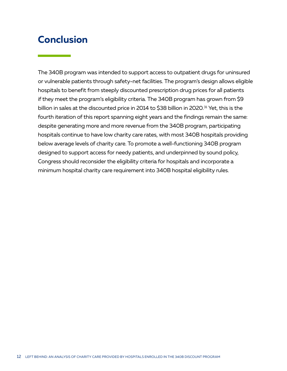## **Conclusion**

The 340B program was intended to support access to outpatient drugs for uninsured or vulnerable patients through safety-net facilities. The program's design allows eligible hospitals to benefit from steeply discounted prescription drug prices for all patients if they meet the program's eligibility criteria. The 340B program has grown from \$9 billion in sales at the discounted price in 2014 to \$38 billion in 2020.<sup>31</sup> Yet, this is the fourth iteration of this report spanning eight years and the findings remain the same: despite generating more and more revenue from the 340B program, participating hospitals continue to have low charity care rates, with most 340B hospitals providing below average levels of charity care. To promote a well-functioning 340B program designed to support access for needy patients, and underpinned by sound policy, Congress should reconsider the eligibility criteria for hospitals and incorporate a minimum hospital charity care requirement into 340B hospital eligibility rules.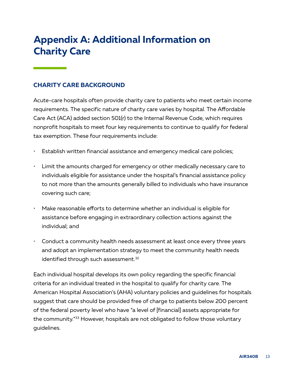## **Appendix A: Additional Information on Charity Care**

### **CHARITY CARE BACKGROUND**

Acute-care hospitals often provide charity care to patients who meet certain income requirements. The specific nature of charity care varies by hospital. The Affordable Care Act (ACA) added section 501(r) to the Internal Revenue Code, which requires nonprofit hospitals to meet four key requirements to continue to qualify for federal tax exemption. These four requirements include:

- Establish written financial assistance and emergency medical care policies;
- Limit the amounts charged for emergency or other medically necessary care to individuals eligible for assistance under the hospital's financial assistance policy to not more than the amounts generally billed to individuals who have insurance covering such care;
- Make reasonable efforts to determine whether an individual is eligible for assistance before engaging in extraordinary collection actions against the individual; and
- Conduct a community health needs assessment at least once every three years and adopt an implementation strategy to meet the community health needs identified through such assessment.<sup>32</sup>

Each individual hospital develops its own policy regarding the specific financial criteria for an individual treated in the hospital to qualify for charity care. The American Hospital Association's (AHA) voluntary policies and guidelines for hospitals suggest that care should be provided free of charge to patients below 200 percent of the federal poverty level who have "a level of [financial] assets appropriate for the community."33 However, hospitals are not obligated to follow those voluntary guidelines.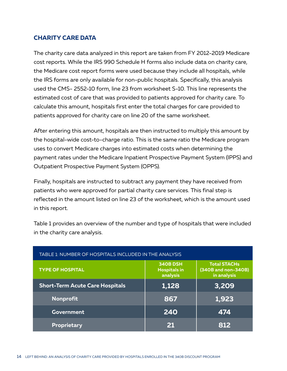### **CHARITY CARE DATA**

The charity care data analyzed in this report are taken from FY 2012-2019 Medicare cost reports. While the IRS 990 Schedule H forms also include data on charity care, the Medicare cost report forms were used because they include all hospitals, while the IRS forms are only available for non-public hospitals. Specifically, this analysis used the CMS- 2552-10 form, line 23 from worksheet S-10. This line represents the estimated cost of care that was provided to patients approved for charity care. To calculate this amount, hospitals first enter the total charges for care provided to patients approved for charity care on line 20 of the same worksheet.

After entering this amount, hospitals are then instructed to multiply this amount by the hospital-wide cost-to-charge ratio. This is the same ratio the Medicare program uses to convert Medicare charges into estimated costs when determining the payment rates under the Medicare Inpatient Prospective Payment System (IPPS) and Outpatient Prospective Payment System (OPPS).

Finally, hospitals are instructed to subtract any payment they have received from patients who were approved for partial charity care services. This final step is reflected in the amount listed on line 23 of the worksheet, which is the amount used in this report.

Table 1 provides an overview of the number and type of hospitals that were included in the charity care analysis.

| TABLE 1: NUMBER OF HOSPITALS INCLUDED IN THE ANALYSIS |                                             |                                                           |
|-------------------------------------------------------|---------------------------------------------|-----------------------------------------------------------|
| <b>TYPE OF HOSPITAL</b>                               | 340B DSH<br><b>Hospitals in</b><br>analysis | <b>Total STACHs</b><br>(340B and non-340B)<br>in analysis |
| <b>Short-Term Acute Care Hospitals</b>                | 1,128                                       | 3,209                                                     |
| Nonprofit                                             | 867                                         | 1,923                                                     |
| Government                                            | 240                                         | 474                                                       |
| Proprietary                                           | 21                                          | 812                                                       |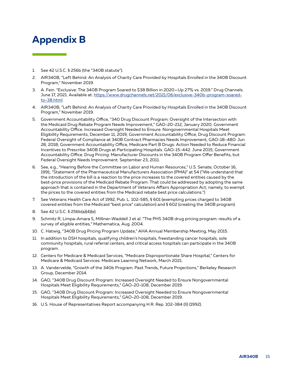## **Appendix B**

- 1. See 42 U.S.C. § 256b (the "340B statute").
- 2. AIR340B, "Left Behind: An Analysis of Charity Care Provided by Hospitals Enrolled in the 340B Discount Program," November 2019.
- 3. A. Fein. "Exclusive: The 340B Program Soared to \$38 Billion in 2020—Up 27% vs. 2019." Drug Channels. June 17, 2021. Available at: https://www.drugchannels.net/2021/06/exclusive-340b-program-soaredto-38.html.
- 4. AIR340B, "Left Behind: An Analysis of Charity Care Provided by Hospitals Enrolled in the 340B Discount Program," November 2019.
- 5. Government Accountability Office, "340 Drug Discount Program: Oversight of the Intersection with the Medicaid Drug Rebate Program Needs Improvement," GAO-20-212, January 2020; Government Accountability Office. Increased Oversight Needed to Ensure. Nongovernmental Hospitals Meet Eligibility Requirements, December 11, 2019; Government Accountability Office, Drug Discount Program: Federal Oversight of Compliance at 340B Contract Pharmacies Needs Improvement, GAO-18-480: Jun 28, 2018; Government Accountability Office, Medicare Part B Drugs: Action Needed to Reduce Financial Incentives to Prescribe 340B Drugs at Participating Hospitals. GAO-15-442. June 2015; Government Accountability Office. Drug Pricing: Manufacturer Discounts in the 340B Program Offer Benefits, but Federal Oversight Needs Improvement. September 23, 2011.
- 6. See, e.g., "Hearing Before the Committee on Labor and Human Resources," U.S. Senate, October 16, 1991; "Statement of the Pharmaceutical Manufacturers Association (PMA)" at 54 ("We understand that the introduction of the bill is a reaction to the price increases to the covered entities caused by the best-price provisions of the Medicaid Rebate Program. That could be addressed by adopting the same approach that is contained in the Department of Veterans Affairs Appropriation Act; namely, to exempt the prices to the covered entities from the Medicaid rebate best price calculations.")
- 7. See Veterans Health Care Act of 1992, Pub. L. 102-585, § 601 (exempting prices charged to 340B covered entities from the Medicaid "best price" calculation) and § 602 (creating the 340B program).
- 8. See 42 U.S.C. § 256b(a)(4)(e).
- 9. Schmitz R, Limpa-Amara S, Milliner-Waddell J et al. "The PHS 340B drug pricing program: results of a survey of eligible entities," Mathematica, Aug. 2004.
- 10. C. Hatwig, "340B Drug Pricing Program Update," AHA Annual Membership Meeting, May 2015.
- 11. In addition to DSH hospitals, qualifying children's hospitals, freestanding cancer hospitals, sole community hospitals, rural referral centers, and critical access hospitals can participate in the 340B program.
- 12. Centers for Medicare & Medicaid Services, "Medicare Disproportionate Share Hospital," Centers for Medicare & Medicaid Services: Medicare Learning Network, March 2021.
- 13. A. Vandervelde, "Growth of the 340b Program: Past Trends, Future Projections," Berkeley Research Group, December 2014.
- 14. GAO, "340B Drug Discount Program: Increased Oversight Needed to Ensure Nongovernmental Hospitals Meet Eligibility Requirements," GAO-20-108, December 2019.
- 15. GAO, "340B Drug Discount Program: Increased Oversight Needed to Ensure Nongovernmental Hospitals Meet Eligibility Requirements," GAO-20-108, December 2019.
- 16. U.S. House of Representatives Report accompanying H.R. Rep. 102-384 (II) (1992).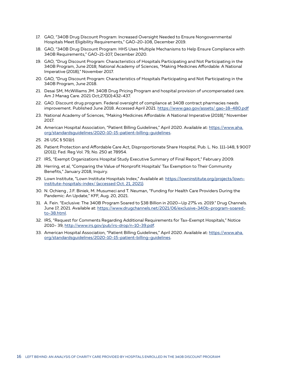- 17. GAO, "340B Drug Discount Program: Increased Oversight Needed to Ensure Nongovernmental Hospitals Meet Eligibility Requirements," GAO-20-108, December 2019.
- 18. GAO, "340B Drug Discount Program: HHS Uses Multiple Mechanisms to Help Ensure Compliance with 340B Requirements," GAO-21-107, December 2020.
- 19. GAO, "Drug Discount Program: Characteristics of Hospitals Participating and Not Participating in the 340B Program, June 2018; National Academy of Sciences, "Making Medicines Affordable: A National Imperative (2018)," November 2017.
- 20. GAO, "Drug Discount Program: Characteristics of Hospitals Participating and Not Participating in the 340B Program, June 2018.
- 21. Desai SM, McWilliams JM. 340B Drug Pricing Program and hospital provision of uncompensated care. Am J Manag Care. 2021 Oct;27(10):432-437.
- 22. GAO. Discount drug program. Federal oversight of compliance at 340B contract pharmacies needs improvement. Published June 2018. Accessed April 2021. https://www.gao.gov/assets/gao-18-480.pdf
- 23. National Academy of Sciences, "Making Medicines Affordable: A National Imperative (2018)," November 2017.
- 24. American Hospital Association, "Patient Billing Guidelines," April 2020. Available at: https://www.aha. org/standardsguidelines/2020-10-15-patient-billing-guidelines.
- 25. 26 USC § 501(r).
- 26. Patient Protection and Affordable Care Act, Disproportionate Share Hospital, Pub. L. No. 111-148, § 9007 (2011); Fed. Reg Vol. 79, No. 250 at 78954.
- 27. IRS, "Exempt Organizations Hospital Study Executive Summary of Final Report," February 2009.
- 28. Herring, et al, "Comparing the Value of Nonprofit Hospitals' Tax Exemption to Their Community Benefits," January 2018, Inquiry.
- 29. Lown Institute, "Lown Institute Hospitals Index," Available at: https://lowninstitute.org/projects/lowninstitute-hospitals-index/ (accessed Oct. 21, 2021).
- 30. N. Ochieng , J.F. Biniek, M. Musumeci and T. Neuman, "Funding for Health Care Providers During the Pandemic: An Update," KFF, Aug. 20, 2021.
- 31. A. Fein. "Exclusive: The 340B Program Soared to \$38 Billion in 2020—Up 27% vs. 2019." Drug Channels. June 17, 2021. Available at: https://www.drugchannels.net/2021/06/exclusive-340b-program-soaredto-38.html.
- 32. IRS, "Request for Comments Regarding Additional Requirements for Tax-Exempt Hospitals," Notice 2010- 39, http://www.irs.gov/pub/irs-drop/n-10-39.pdf.
- 33. American Hospital Association, "Patient Billing Guidelines," April 2020. Available at: https://www.aha. org/standardsguidelines/2020-10-15-patient-billing-guidelines.